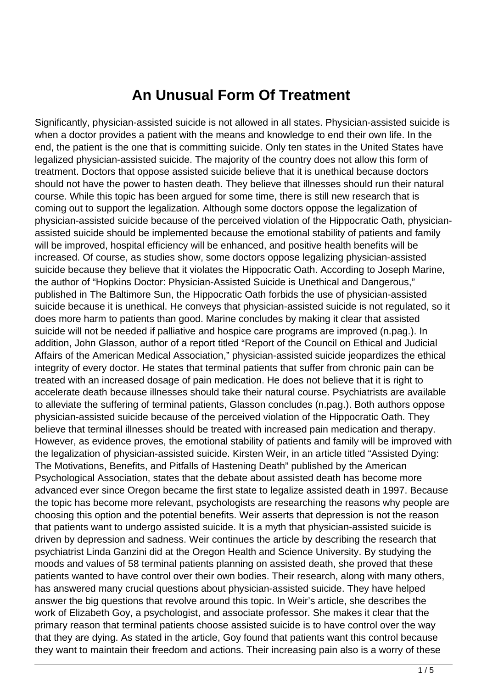## **An Unusual Form Of Treatment**

Significantly, physician-assisted suicide is not allowed in all states. Physician-assisted suicide is when a doctor provides a patient with the means and knowledge to end their own life. In the end, the patient is the one that is committing suicide. Only ten states in the United States have legalized physician-assisted suicide. The majority of the country does not allow this form of treatment. Doctors that oppose assisted suicide believe that it is unethical because doctors should not have the power to hasten death. They believe that illnesses should run their natural course. While this topic has been argued for some time, there is still new research that is coming out to support the legalization. Although some doctors oppose the legalization of physician-assisted suicide because of the perceived violation of the Hippocratic Oath, physicianassisted suicide should be implemented because the emotional stability of patients and family will be improved, hospital efficiency will be enhanced, and positive health benefits will be increased. Of course, as studies show, some doctors oppose legalizing physician-assisted suicide because they believe that it violates the Hippocratic Oath. According to Joseph Marine, the author of "Hopkins Doctor: Physician-Assisted Suicide is Unethical and Dangerous," published in The Baltimore Sun, the Hippocratic Oath forbids the use of physician-assisted suicide because it is unethical. He conveys that physician-assisted suicide is not regulated, so it does more harm to patients than good. Marine concludes by making it clear that assisted suicide will not be needed if palliative and hospice care programs are improved (n.pag.). In addition, John Glasson, author of a report titled "Report of the Council on Ethical and Judicial Affairs of the American Medical Association," physician-assisted suicide jeopardizes the ethical integrity of every doctor. He states that terminal patients that suffer from chronic pain can be treated with an increased dosage of pain medication. He does not believe that it is right to accelerate death because illnesses should take their natural course. Psychiatrists are available to alleviate the suffering of terminal patients, Glasson concludes (n.pag.). Both authors oppose physician-assisted suicide because of the perceived violation of the Hippocratic Oath. They believe that terminal illnesses should be treated with increased pain medication and therapy. However, as evidence proves, the emotional stability of patients and family will be improved with the legalization of physician-assisted suicide. Kirsten Weir, in an article titled "Assisted Dying: The Motivations, Benefits, and Pitfalls of Hastening Death" published by the American Psychological Association, states that the debate about assisted death has become more advanced ever since Oregon became the first state to legalize assisted death in 1997. Because the topic has become more relevant, psychologists are researching the reasons why people are choosing this option and the potential benefits. Weir asserts that depression is not the reason that patients want to undergo assisted suicide. It is a myth that physician-assisted suicide is driven by depression and sadness. Weir continues the article by describing the research that psychiatrist Linda Ganzini did at the Oregon Health and Science University. By studying the moods and values of 58 terminal patients planning on assisted death, she proved that these patients wanted to have control over their own bodies. Their research, along with many others, has answered many crucial questions about physician-assisted suicide. They have helped answer the big questions that revolve around this topic. In Weir's article, she describes the work of Elizabeth Goy, a psychologist, and associate professor. She makes it clear that the primary reason that terminal patients choose assisted suicide is to have control over the way that they are dying. As stated in the article, Goy found that patients want this control because they want to maintain their freedom and actions. Their increasing pain also is a worry of these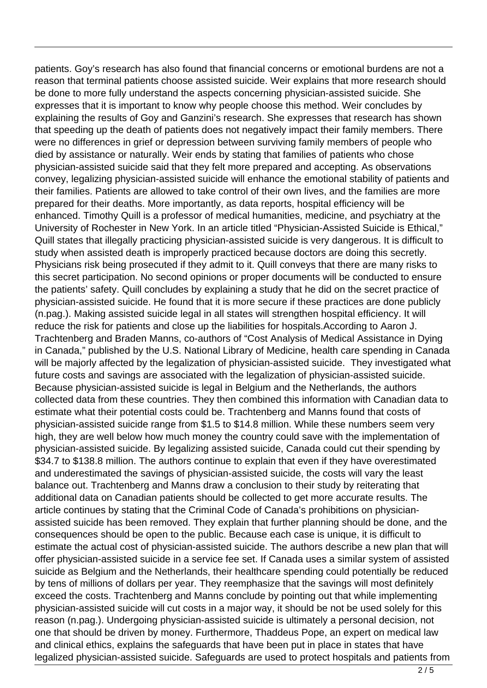patients. Goy's research has also found that financial concerns or emotional burdens are not a reason that terminal patients choose assisted suicide. Weir explains that more research should be done to more fully understand the aspects concerning physician-assisted suicide. She expresses that it is important to know why people choose this method. Weir concludes by explaining the results of Goy and Ganzini's research. She expresses that research has shown that speeding up the death of patients does not negatively impact their family members. There were no differences in grief or depression between surviving family members of people who died by assistance or naturally. Weir ends by stating that families of patients who chose physician-assisted suicide said that they felt more prepared and accepting. As observations convey, legalizing physician-assisted suicide will enhance the emotional stability of patients and their families. Patients are allowed to take control of their own lives, and the families are more prepared for their deaths. More importantly, as data reports, hospital efficiency will be enhanced. Timothy Quill is a professor of medical humanities, medicine, and psychiatry at the University of Rochester in New York. In an article titled "Physician-Assisted Suicide is Ethical," Quill states that illegally practicing physician-assisted suicide is very dangerous. It is difficult to study when assisted death is improperly practiced because doctors are doing this secretly. Physicians risk being prosecuted if they admit to it. Quill conveys that there are many risks to this secret participation. No second opinions or proper documents will be conducted to ensure the patients' safety. Quill concludes by explaining a study that he did on the secret practice of physician-assisted suicide. He found that it is more secure if these practices are done publicly (n.pag.). Making assisted suicide legal in all states will strengthen hospital efficiency. It will reduce the risk for patients and close up the liabilities for hospitals.According to Aaron J. Trachtenberg and Braden Manns, co-authors of "Cost Analysis of Medical Assistance in Dying in Canada," published by the U.S. National Library of Medicine, health care spending in Canada will be majorly affected by the legalization of physician-assisted suicide. They investigated what future costs and savings are associated with the legalization of physician-assisted suicide. Because physician-assisted suicide is legal in Belgium and the Netherlands, the authors collected data from these countries. They then combined this information with Canadian data to estimate what their potential costs could be. Trachtenberg and Manns found that costs of physician-assisted suicide range from \$1.5 to \$14.8 million. While these numbers seem very high, they are well below how much money the country could save with the implementation of physician-assisted suicide. By legalizing assisted suicide, Canada could cut their spending by \$34.7 to \$138.8 million. The authors continue to explain that even if they have overestimated and underestimated the savings of physician-assisted suicide, the costs will vary the least balance out. Trachtenberg and Manns draw a conclusion to their study by reiterating that additional data on Canadian patients should be collected to get more accurate results. The article continues by stating that the Criminal Code of Canada's prohibitions on physicianassisted suicide has been removed. They explain that further planning should be done, and the consequences should be open to the public. Because each case is unique, it is difficult to estimate the actual cost of physician-assisted suicide. The authors describe a new plan that will offer physician-assisted suicide in a service fee set. If Canada uses a similar system of assisted suicide as Belgium and the Netherlands, their healthcare spending could potentially be reduced by tens of millions of dollars per year. They reemphasize that the savings will most definitely exceed the costs. Trachtenberg and Manns conclude by pointing out that while implementing physician-assisted suicide will cut costs in a major way, it should be not be used solely for this reason (n.pag.). Undergoing physician-assisted suicide is ultimately a personal decision, not one that should be driven by money. Furthermore, Thaddeus Pope, an expert on medical law and clinical ethics, explains the safeguards that have been put in place in states that have legalized physician-assisted suicide. Safeguards are used to protect hospitals and patients from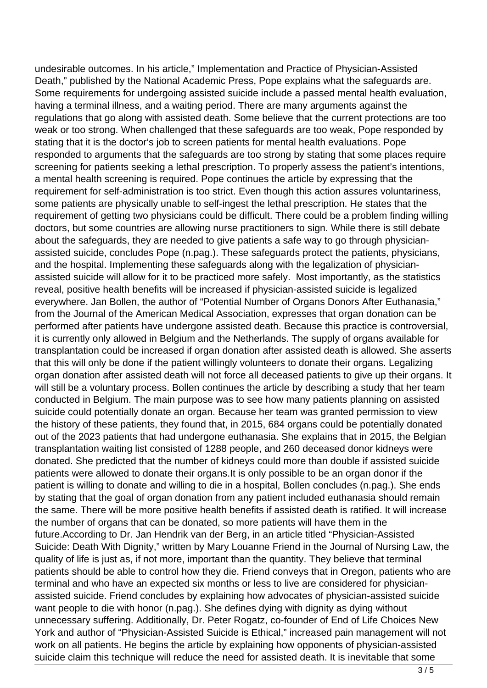undesirable outcomes. In his article," Implementation and Practice of Physician-Assisted Death," published by the National Academic Press, Pope explains what the safeguards are. Some requirements for undergoing assisted suicide include a passed mental health evaluation, having a terminal illness, and a waiting period. There are many arguments against the regulations that go along with assisted death. Some believe that the current protections are too weak or too strong. When challenged that these safeguards are too weak, Pope responded by stating that it is the doctor's job to screen patients for mental health evaluations. Pope responded to arguments that the safeguards are too strong by stating that some places require screening for patients seeking a lethal prescription. To properly assess the patient's intentions, a mental health screening is required. Pope continues the article by expressing that the requirement for self-administration is too strict. Even though this action assures voluntariness, some patients are physically unable to self-ingest the lethal prescription. He states that the requirement of getting two physicians could be difficult. There could be a problem finding willing doctors, but some countries are allowing nurse practitioners to sign. While there is still debate about the safeguards, they are needed to give patients a safe way to go through physicianassisted suicide, concludes Pope (n.pag.). These safeguards protect the patients, physicians, and the hospital. Implementing these safeguards along with the legalization of physicianassisted suicide will allow for it to be practiced more safely. Most importantly, as the statistics reveal, positive health benefits will be increased if physician-assisted suicide is legalized everywhere. Jan Bollen, the author of "Potential Number of Organs Donors After Euthanasia," from the Journal of the American Medical Association, expresses that organ donation can be performed after patients have undergone assisted death. Because this practice is controversial, it is currently only allowed in Belgium and the Netherlands. The supply of organs available for transplantation could be increased if organ donation after assisted death is allowed. She asserts that this will only be done if the patient willingly volunteers to donate their organs. Legalizing organ donation after assisted death will not force all deceased patients to give up their organs. It will still be a voluntary process. Bollen continues the article by describing a study that her team conducted in Belgium. The main purpose was to see how many patients planning on assisted suicide could potentially donate an organ. Because her team was granted permission to view the history of these patients, they found that, in 2015, 684 organs could be potentially donated out of the 2023 patients that had undergone euthanasia. She explains that in 2015, the Belgian transplantation waiting list consisted of 1288 people, and 260 deceased donor kidneys were donated. She predicted that the number of kidneys could more than double if assisted suicide patients were allowed to donate their organs.It is only possible to be an organ donor if the patient is willing to donate and willing to die in a hospital, Bollen concludes (n.pag.). She ends by stating that the goal of organ donation from any patient included euthanasia should remain the same. There will be more positive health benefits if assisted death is ratified. It will increase the number of organs that can be donated, so more patients will have them in the future.According to Dr. Jan Hendrik van der Berg, in an article titled "Physician-Assisted Suicide: Death With Dignity," written by Mary Louanne Friend in the Journal of Nursing Law, the quality of life is just as, if not more, important than the quantity. They believe that terminal patients should be able to control how they die. Friend conveys that in Oregon, patients who are terminal and who have an expected six months or less to live are considered for physicianassisted suicide. Friend concludes by explaining how advocates of physician-assisted suicide want people to die with honor (n.pag.). She defines dying with dignity as dying without unnecessary suffering. Additionally, Dr. Peter Rogatz, co-founder of End of Life Choices New York and author of "Physician-Assisted Suicide is Ethical," increased pain management will not work on all patients. He begins the article by explaining how opponents of physician-assisted suicide claim this technique will reduce the need for assisted death. It is inevitable that some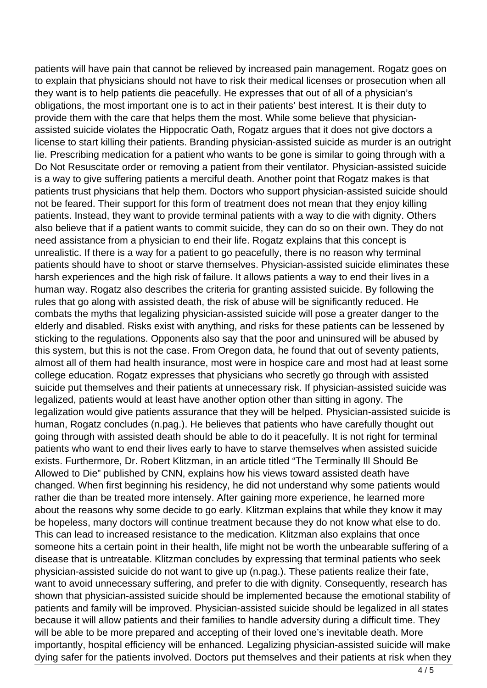patients will have pain that cannot be relieved by increased pain management. Rogatz goes on to explain that physicians should not have to risk their medical licenses or prosecution when all they want is to help patients die peacefully. He expresses that out of all of a physician's obligations, the most important one is to act in their patients' best interest. It is their duty to provide them with the care that helps them the most. While some believe that physicianassisted suicide violates the Hippocratic Oath, Rogatz argues that it does not give doctors a license to start killing their patients. Branding physician-assisted suicide as murder is an outright lie. Prescribing medication for a patient who wants to be gone is similar to going through with a Do Not Resuscitate order or removing a patient from their ventilator. Physician-assisted suicide is a way to give suffering patients a merciful death. Another point that Rogatz makes is that patients trust physicians that help them. Doctors who support physician-assisted suicide should not be feared. Their support for this form of treatment does not mean that they enjoy killing patients. Instead, they want to provide terminal patients with a way to die with dignity. Others also believe that if a patient wants to commit suicide, they can do so on their own. They do not need assistance from a physician to end their life. Rogatz explains that this concept is unrealistic. If there is a way for a patient to go peacefully, there is no reason why terminal patients should have to shoot or starve themselves. Physician-assisted suicide eliminates these harsh experiences and the high risk of failure. It allows patients a way to end their lives in a human way. Rogatz also describes the criteria for granting assisted suicide. By following the rules that go along with assisted death, the risk of abuse will be significantly reduced. He combats the myths that legalizing physician-assisted suicide will pose a greater danger to the elderly and disabled. Risks exist with anything, and risks for these patients can be lessened by sticking to the regulations. Opponents also say that the poor and uninsured will be abused by this system, but this is not the case. From Oregon data, he found that out of seventy patients, almost all of them had health insurance, most were in hospice care and most had at least some college education. Rogatz expresses that physicians who secretly go through with assisted suicide put themselves and their patients at unnecessary risk. If physician-assisted suicide was legalized, patients would at least have another option other than sitting in agony. The legalization would give patients assurance that they will be helped. Physician-assisted suicide is human, Rogatz concludes (n.pag.). He believes that patients who have carefully thought out going through with assisted death should be able to do it peacefully. It is not right for terminal patients who want to end their lives early to have to starve themselves when assisted suicide exists. Furthermore, Dr. Robert Klitzman, in an article titled "The Terminally Ill Should Be Allowed to Die" published by CNN, explains how his views toward assisted death have changed. When first beginning his residency, he did not understand why some patients would rather die than be treated more intensely. After gaining more experience, he learned more about the reasons why some decide to go early. Klitzman explains that while they know it may be hopeless, many doctors will continue treatment because they do not know what else to do. This can lead to increased resistance to the medication. Klitzman also explains that once someone hits a certain point in their health, life might not be worth the unbearable suffering of a disease that is untreatable. Klitzman concludes by expressing that terminal patients who seek physician-assisted suicide do not want to give up (n.pag.). These patients realize their fate, want to avoid unnecessary suffering, and prefer to die with dignity. Consequently, research has shown that physician-assisted suicide should be implemented because the emotional stability of patients and family will be improved. Physician-assisted suicide should be legalized in all states because it will allow patients and their families to handle adversity during a difficult time. They will be able to be more prepared and accepting of their loved one's inevitable death. More importantly, hospital efficiency will be enhanced. Legalizing physician-assisted suicide will make dying safer for the patients involved. Doctors put themselves and their patients at risk when they